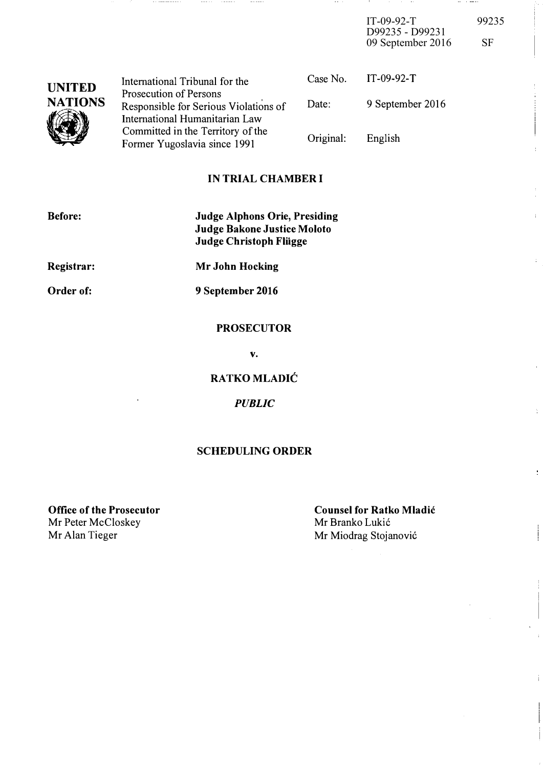$IT-09-92-T$  99235 D99235 - D99231 09 September 2016 SF

and the motion

 $\frac{1}{4}$ 

 $\frac{1}{2}$ 

**Contract Contract** 

 $\sim 100$  $\sim$  100  $\pm$ 

| <b>UNITED</b><br><b>NATIONS</b> | International Tribunal for the                                      |           | Case No. $IT-09-92-T$ |
|---------------------------------|---------------------------------------------------------------------|-----------|-----------------------|
|                                 | Prosecution of Persons<br>Responsible for Serious Violations of     | Date:     | 9 September 2016      |
|                                 | International Humanitarian Law<br>Committed in the Territory of the |           |                       |
|                                 | Former Yugoslavia since 1991                                        | Original: | English               |

 $- - - - - -$ 

## IN TRIAL CHAMBER I

| <b>Before:</b> | <b>Judge Alphons Orie, Presiding</b><br><b>Judge Bakone Justice Moloto</b><br><b>Judge Christoph Fliigge</b> |
|----------------|--------------------------------------------------------------------------------------------------------------|
| Registrar:     | Mr John Hocking                                                                                              |
| Order of:      | 9 September 2016                                                                                             |

 $\cdots \cdots \cdots$ 

## PROSECUTOR

v.

RATKO MLADIC

**PUBLIC** 

## SCHEDULING ORDER

Office of the Prosecutor Mr Peter McCloskey<br>Mr Alan Tieger

Counsel for Ratko Mladic Mr Branko Lukić Mr Miodrag Stojanović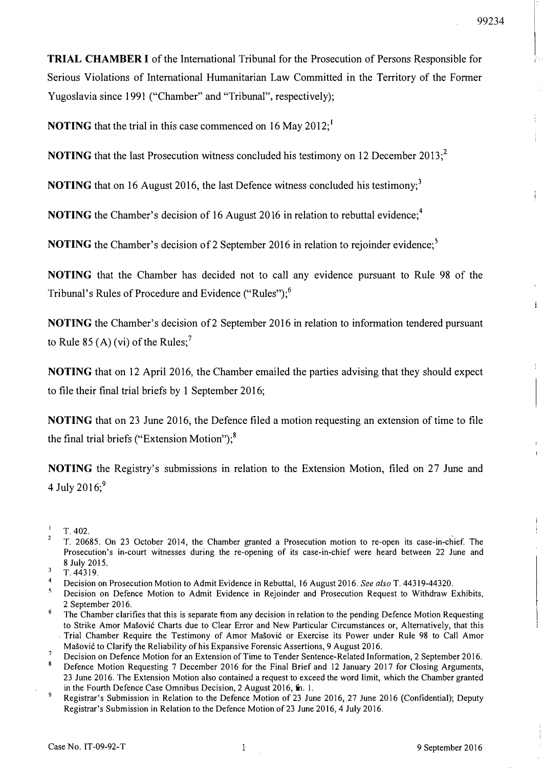TRIAL CHAMBER I of the International Tribunal for the Prosecution of Persons Responsible for Serious Violations of International Humanitarian Law Committed in the Territory of the Former Yugoslavia since 1991 ("Chamber" and "Tribunal", respectively);

**NOTING** that the trial in this case commenced on 16 May 2012;<sup>1</sup>

**NOTING** that the last Prosecution witness concluded his testimony on 12 December 2013;<sup>2</sup>

**NOTING** that on 16 August 2016, the last Defence witness concluded his testimony;<sup>3</sup>

NOTING the Chamber's decision of 16 August 2016 in relation to rebuttal evidence;<sup>4</sup>

**NOTING** the Chamber's decision of 2 September 2016 in relation to rejoinder evidence;<sup>5</sup>

NOTING that the Chamber has decided not to call any evidence pursuant to Rule 98 of the Tribunal's Rules of Procedure and Evidence ("Rules");<sup>6</sup>

NOTING the Chamber's decision of2 September 2016 in relation to information tendered pursuant to Rule 85 (A) (vi) of the Rules;<sup>7</sup>

NOTING that on 12 April 2016, the Chamber emailed the parties advising that they should expect to file their final trial briefs by I September 2016;

NOTING that on 23 June 2016, the Defence filed a motion requesting an extension of time to file the final trial briefs ("Extension Motion"); $^{8}$ 

NOTING the Registry's submissions in relation to the Extension Motion, filed on 27 June and 4 July 2016;<sup>9</sup>

99234

 $\frac{1}{4}$ 

 $\mathbf{1}$ 

 $\blacksquare$ T.402.

<sup>2</sup>  T. 20685. On 23 October 2014, the Chamber granted a Prosecution motion to re-open its case-in-chief. The Prosecution's in-court witnesses during the re-opening of its case-in-chief were heard between 22 June and 8 July 2015.

 $\overline{3}$ T.44319.

 $\blacktriangleleft$ Decision on Prosecution Motion to Admit Evidence in Rebuttal, 16 August 2016. See also T. 44319-44320.

Decision on Defence Motion to Admit Evidence in Rejoinder and Prosecution Request to Withdraw Exhibits, 2 September 2016.

The Chamber clarifies that this is separate from any decision in relation to the pending Defence Motion Requesting to Strike Amor Mašović Charts due to Clear Error and New Particular Circumstances or, Alternatively, that this . Trial Chamber Require the Testimony of Amor Masovi6 or Exercise its Power under Rule 98 to Call Amor Mašović to Clarify the Reliability of his Expansive Forensic Assertions, 9 August 2016.

Decision on Defence Motion for an Extension of Time to Tender Sentence-Related Information, 2 September 2016.

Defence Motion Requesting 7 December 2016 for the Final Brief and 12 January 2017 for Closing Arguments, 23 June 2016. The Extension Motion also contained a request to exceed the word limit, which the Chamber granted in the Fourth Defence Case Omnibus Decision, 2 August 2016, fn. 1.

<sup>9</sup> Registrar's Submission in Relation to the Defence Motion of 23 June 2016, 27 June 2016 (Confidential); Deputy Registrar's Submission in Relation to the Defence Motion of 23 June 2016, 4 July 2016.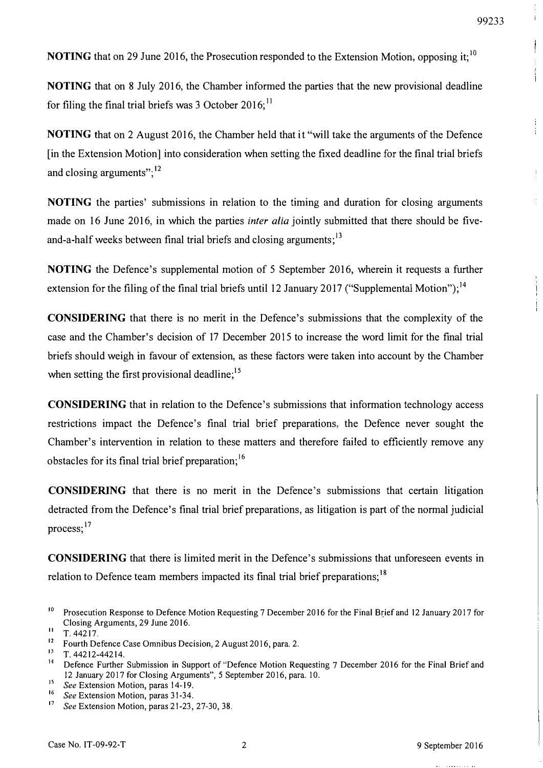$\ddot{i}$ 

 $\bigg\}$ 

 $\begin{array}{c} \frac{1}{2} \\ \frac{1}{2} \\ \frac{1}{2} \end{array}$ 

÷

 $\frac{1}{2}$ 

÷

**NOTING** that on 29 June 2016, the Prosecution responded to the Extension Motion, opposing it;<sup>10</sup>

NOTING that on 8 July 2016, the Chamber informed the parties that the new provisional deadline for filing the final trial briefs was 3 October 2016;<sup>11</sup>

NOTING that on 2 August 2016, the Chamber held that it "will take the arguments of the Defence [in the Extension Motion] into consideration when setting the fixed deadline for the final trial briefs and closing arguments"; $^{12}$ 

NOTING the parties' submissions in relation to the timing and duration for closing arguments made on 16 June 2016, in which the parties *inter alia* jointly submitted that there should be fiveand-a-half weeks between final trial briefs and closing arguments;<sup>13</sup>

NOTING the Defence's supplemental motion of 5 September 2016, wherein it requests a further extension for the filing of the final trial briefs until 12 January 2017 ("Supplemental Motion");  $14$ 

CONSIDERING that there is no merit in the Defence's submissions that the complexity of the case and the Chamber's decision of 17 December 2015 to increase the word limit for the final trial briefs should weigh in favour of extension, as these factors were taken into account by the Chamber when setting the first provisional deadline;<sup>15</sup>

CONSIDERING that in relation to the Defence's submissions that information technology access restrictions impact the Defence's final trial brief preparations, the Defence never sought the Chamber's intervention in relation to these matters and therefore failed to efficiently remove any obstacles for its final trial brief preparation;  $16$ 

CONSIDERING that there is no merit in the Defence's submissions that certain litigation detracted from the Defence's final trial brief preparations, as litigation is part of the normal judicial process:<sup>17</sup>

CONSIDERING that there is limited merit in the Defence's submissions that unforeseen events in relation to Defence team members impacted its final trial brief preparations;<sup>18</sup>

<sup>&</sup>lt;sup>10</sup> Prosecution Response to Defence Motion Requesting 7 December 2016 for the Final Brief and 12 January 2017 for Closing Arguments, 29 June 2016.<br>
11 T. 44217.<br>
12 Fourth Defence Case Omnibus Decision, 2 August 2016, para. 2.<br>
13 T. 44212-44214.

<sup>&</sup>lt;sup>14</sup> Defence Further Submission in Support of "Defence Motion Requesting 7 December 2016 for the Final Brief and 12 January 2017 for Closing Arguments", 5 September 2016, para. 10.

<sup>&</sup>lt;sup>15</sup> See Extension Motion, paras 14-19.<br><sup>16</sup> See Extension Motion, paras 31-34.<br><sup>17</sup> See Extension Motion, paras 21-23, 27-30, 38.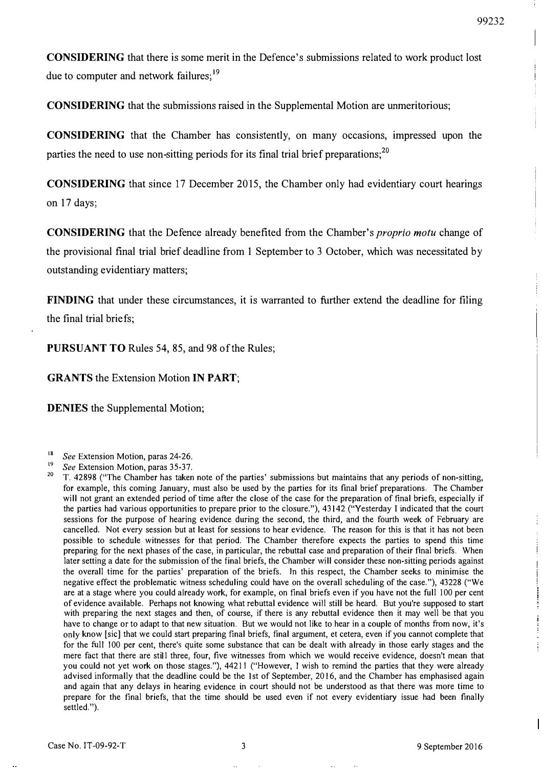÷

j

CONSIDERING that there is some merit in the Defence' s submissions related to work product lost due to computer and network failures;<sup>19</sup>

CONSIDERING that the submissions raised in the Supplemental Motion are unmeritorious;

CONSIDERING that the Chamber has consistently, on many occasions, impressed upon the parties the need to use non-sitting periods for its final trial brief preparations;<sup>20</sup>

CONSIDERING that since 17 December 2015, the Chamber only had evidentiary court hearings on 17 days;

CONSIDERING that the Defence already benefited from the Chamber's proprio motu change of the provisional final trial brief deadline from 1 September to 3 October, which was necessitated by outstanding evidentiary matters;

FINDING that under these circumstances, it is warranted to further extend the deadline for filing the final trial briefs;

PURSUANT TO Rules 54, 85, and 98 of the Rules;

GRANTS the Extension Motion IN PART;

DENIES the Supplemental Motion;

- <sup>18</sup> See Extension Motion, paras 24-26.
- <sup>19</sup> See Extension Motion, paras 35-37,<br><sup>20</sup> T. 42808 (ii) The Chamber has taken

<sup>20</sup>T, 42898 ("The Chamber has taken note of the parties' submissions but maintains that any periods of non-sitting, for example, this coming January, must also be used by the parties for its fmal brief preparations, The Chamber will not grant an extended period of time after the close of the case for the preparation of final briefs, especially if the parties had various opportunities to prepare prior to the closure,"), 43142 ("Yesterday I indicated that the court sessions for the purpose of hearing evidence during the second, the third, and the fourth week of February are cancelled. Not every session but at least for sessions to hear evidence. The reason for this is that it has not been possible to schedule witnesses for that period, The Chamber therefore expects the parties to spend this time preparing for the next phases of the case, in particular, the rebuttal case and preparation of their final briefs, When later setting a date for the submission of the final briefs, the Chamber will consider these non-sitting periods against the overall time for the parties' preparation of the briefs, In this respect, the Chamber seeks to minimise the negative effect the problematic witness scheduling could have on the overall scheduling of the case,"), 43228 ("We are at a stage where you could already work, for example, on final briefs even if you have not the full 100 per cent of evidence available, Perhaps not knowing what rebuttal evidence will still be heard, But you're supposed to start with preparing the next stages and then, of course, if there is any rebuttal evidence then it may well be that you have to change or to adapt to that new situation. But we would not like to hear in a couple of months from now, it's only know [sic] that we could start preparing final briefs, final argument, et cetera, even if you cannot complete that for the full 100 per cent, there'S quite some substance that can be dealt with already in those early stages and the mere fact that there are sti11 three, four, five witnesses from which we would receive evidence, doesn't mean that you could not yet work on those stages,"), 44211 ("However, I wish to remind the parties that they were already advised informally that the deadline could be the 1st of September, 2016, and the Chamber has emphasised again and again that any delays in hearing evidence in court should not be understood as that there was more time to prepare for the final briefs, that the time should be used even if not every evidentiary issue had been finally settled.").